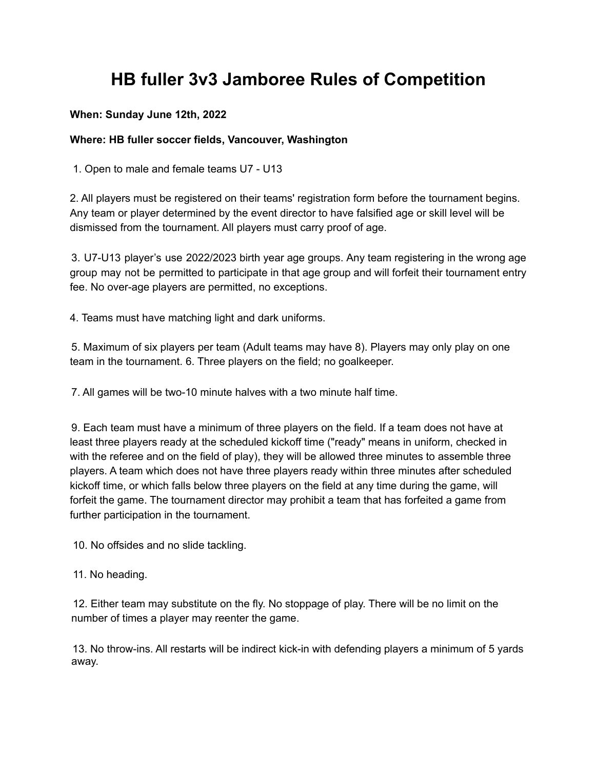## **HB fuller 3v3 Jamboree Rules of Competition**

## **When: Sunday June 12th, 2022**

## **Where: HB fuller soccer fields, Vancouver, Washington**

1. Open to male and female teams U7 - U13

2. All players must be registered on their teams' registration form before the tournament begins. Any team or player determined by the event director to have falsified age or skill level will be dismissed from the tournament. All players must carry proof of age.

3. U7-U13 player's use 2022/2023 birth year age groups. Any team registering in the wrong age group may not be permitted to participate in that age group and will forfeit their tournament entry fee. No over-age players are permitted, no exceptions.

4. Teams must have matching light and dark uniforms.

5. Maximum of six players per team (Adult teams may have 8). Players may only play on one team in the tournament. 6. Three players on the field; no goalkeeper.

7. All games will be two-10 minute halves with a two minute half time.

9. Each team must have a minimum of three players on the field. If a team does not have at least three players ready at the scheduled kickoff time ("ready" means in uniform, checked in with the referee and on the field of play), they will be allowed three minutes to assemble three players. A team which does not have three players ready within three minutes after scheduled kickoff time, or which falls below three players on the field at any time during the game, will forfeit the game. The tournament director may prohibit a team that has forfeited a game from further participation in the tournament.

10. No offsides and no slide tackling.

11. No heading.

12. Either team may substitute on the fly. No stoppage of play. There will be no limit on the number of times a player may reenter the game.

13. No throw-ins. All restarts will be indirect kick-in with defending players a minimum of 5 yards away.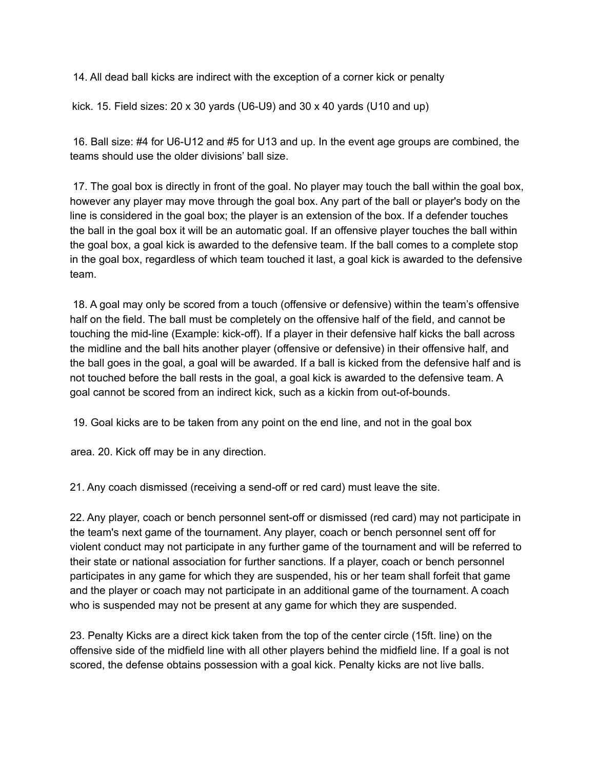14. All dead ball kicks are indirect with the exception of a corner kick or penalty

kick. 15. Field sizes: 20 x 30 yards (U6-U9) and 30 x 40 yards (U10 and up)

16. Ball size: #4 for U6-U12 and #5 for U13 and up. In the event age groups are combined, the teams should use the older divisions' ball size.

17. The goal box is directly in front of the goal. No player may touch the ball within the goal box, however any player may move through the goal box. Any part of the ball or player's body on the line is considered in the goal box; the player is an extension of the box. If a defender touches the ball in the goal box it will be an automatic goal. If an offensive player touches the ball within the goal box, a goal kick is awarded to the defensive team. If the ball comes to a complete stop in the goal box, regardless of which team touched it last, a goal kick is awarded to the defensive team.

18. A goal may only be scored from a touch (offensive or defensive) within the team's offensive half on the field. The ball must be completely on the offensive half of the field, and cannot be touching the mid-line (Example: kick-off). If a player in their defensive half kicks the ball across the midline and the ball hits another player (offensive or defensive) in their offensive half, and the ball goes in the goal, a goal will be awarded. If a ball is kicked from the defensive half and is not touched before the ball rests in the goal, a goal kick is awarded to the defensive team. A goal cannot be scored from an indirect kick, such as a kickin from out-of-bounds.

19. Goal kicks are to be taken from any point on the end line, and not in the goal box

area. 20. Kick off may be in any direction.

21. Any coach dismissed (receiving a send-off or red card) must leave the site.

22. Any player, coach or bench personnel sent-off or dismissed (red card) may not participate in the team's next game of the tournament. Any player, coach or bench personnel sent off for violent conduct may not participate in any further game of the tournament and will be referred to their state or national association for further sanctions. If a player, coach or bench personnel participates in any game for which they are suspended, his or her team shall forfeit that game and the player or coach may not participate in an additional game of the tournament. A coach who is suspended may not be present at any game for which they are suspended.

23. Penalty Kicks are a direct kick taken from the top of the center circle (15ft. line) on the offensive side of the midfield line with all other players behind the midfield line. If a goal is not scored, the defense obtains possession with a goal kick. Penalty kicks are not live balls.